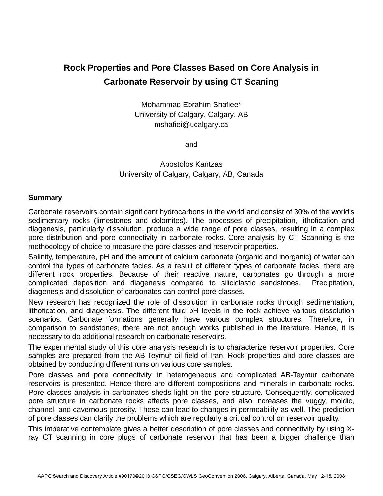## **Rock Properties and Pore Classes Based on Core Analysis in Carbonate Reservoir by using CT Scaning**

Mohammad Ebrahim Shafiee\* University of Calgary, Calgary, AB mshafiei@ucalgary.ca

and

Apostolos Kantzas University of Calgary, Calgary, AB, Canada

## **Summary**

Carbonate reservoirs contain significant hydrocarbons in the world and consist of 30% of the world's sedimentary rocks (limestones and dolomites). The processes of precipitation, lithofication and diagenesis, particularly dissolution, produce a wide range of pore classes, resulting in a complex pore distribution and pore connectivity in carbonate rocks. Core analysis by CT Scanning is the methodology of choice to measure the pore classes and reservoir properties.

Salinity, temperature, pH and the amount of calcium carbonate (organic and inorganic) of water can control the types of carbonate facies. As a result of different types of carbonate facies, there are different rock properties. Because of their reactive nature, carbonates go through a more complicated deposition and diagenesis compared to siliciclastic sandstones. Precipitation, diagenesis and dissolution of carbonates can control pore classes.

New research has recognized the role of dissolution in carbonate rocks through sedimentation, lithofication, and diagenesis. The different fluid pH levels in the rock achieve various dissolution scenarios. Carbonate formations generally have various complex structures. Therefore, in comparison to sandstones, there are not enough works published in the literature. Hence, it is necessary to do additional research on carbonate reservoirs.

The experimental study of this core analysis research is to characterize reservoir properties. Core samples are prepared from the AB-Teymur oil field of Iran. Rock properties and pore classes are obtained by conducting different runs on various core samples.

Pore classes and pore connectivity, in heterogeneous and complicated AB-Teymur carbonate reservoirs is presented. Hence there are different compositions and minerals in carbonate rocks. Pore classes analysis in carbonates sheds light on the pore structure. Consequently, complicated pore structure in carbonate rocks affects pore classes, and also increases the vuggy, moldic, channel, and cavernous porosity. These can lead to changes in permeability as well. The prediction of pore classes can clarify the problems which are regularly a critical control on reservoir quality.

This imperative contemplate gives a better description of pore classes and connectivity by using Xray CT scanning in core plugs of carbonate reservoir that has been a bigger challenge than